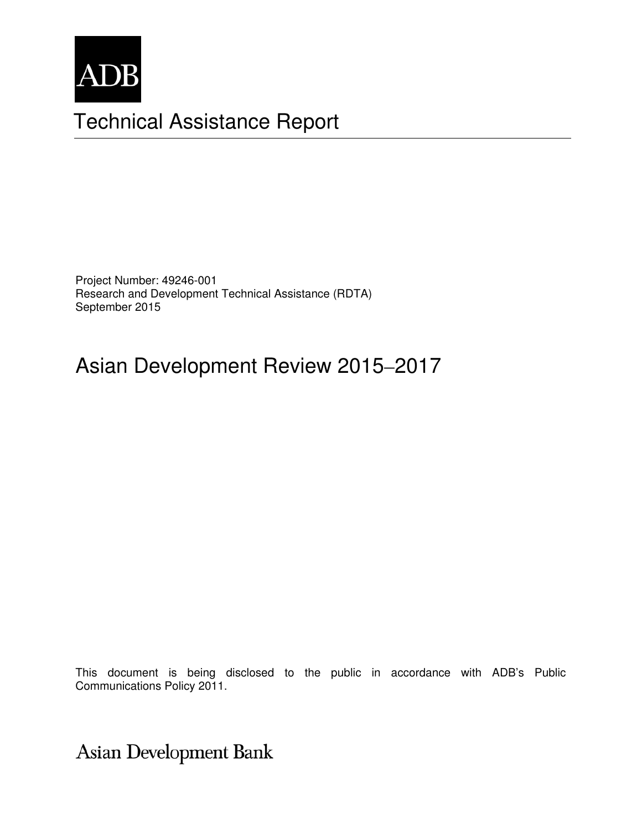

# Technical Assistance Report

Project Number: 49246-001 Research and Development Technical Assistance (RDTA) September 2015

# Asian Development Review 2015–2017

This document is being disclosed to the public in accordance with ADB's Public Communications Policy 2011.

Asian Development Bank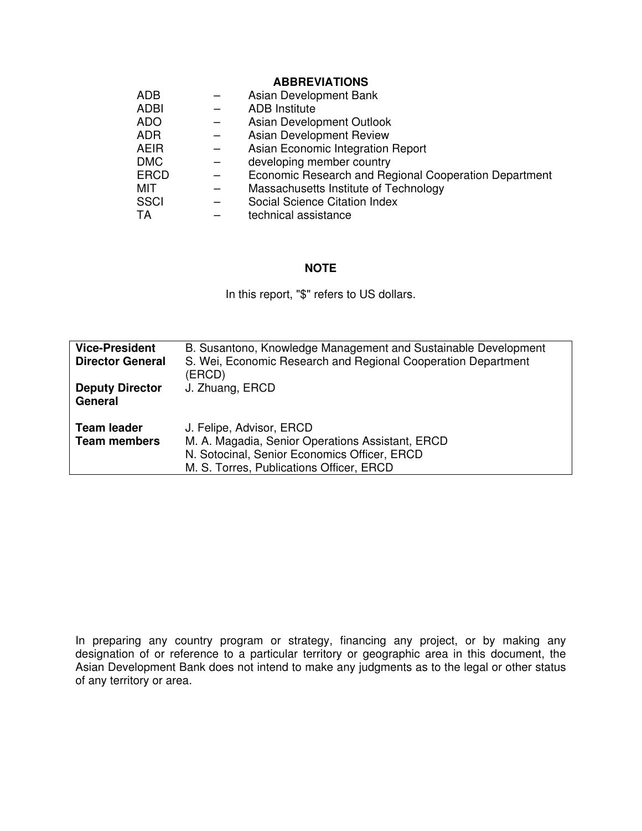#### **ABBREVIATIONS**

| <b>ADB</b>  | Asian Development Bank                                |
|-------------|-------------------------------------------------------|
| <b>ADBI</b> | <b>ADB</b> Institute                                  |
| <b>ADO</b>  | Asian Development Outlook                             |
| <b>ADR</b>  | Asian Development Review                              |
| <b>AEIR</b> | Asian Economic Integration Report                     |
| <b>DMC</b>  | developing member country                             |
| <b>ERCD</b> | Economic Research and Regional Cooperation Department |
| MIT         | Massachusetts Institute of Technology                 |
| <b>SSCI</b> | Social Science Citation Index                         |
| TA          | technical assistance                                  |

#### **NOTE**

In this report, "\$" refers to US dollars.

| <b>Vice-President</b><br><b>Director General</b> | B. Susantono, Knowledge Management and Sustainable Development<br>S. Wei, Economic Research and Regional Cooperation Department<br>(ERCD)                                |
|--------------------------------------------------|--------------------------------------------------------------------------------------------------------------------------------------------------------------------------|
| <b>Deputy Director</b><br>General                | J. Zhuang, ERCD                                                                                                                                                          |
| <b>Team leader</b><br><b>Team members</b>        | J. Felipe, Advisor, ERCD<br>M. A. Magadia, Senior Operations Assistant, ERCD<br>N. Sotocinal, Senior Economics Officer, ERCD<br>M. S. Torres, Publications Officer, ERCD |

In preparing any country program or strategy, financing any project, or by making any designation of or reference to a particular territory or geographic area in this document, the Asian Development Bank does not intend to make any judgments as to the legal or other status of any territory or area.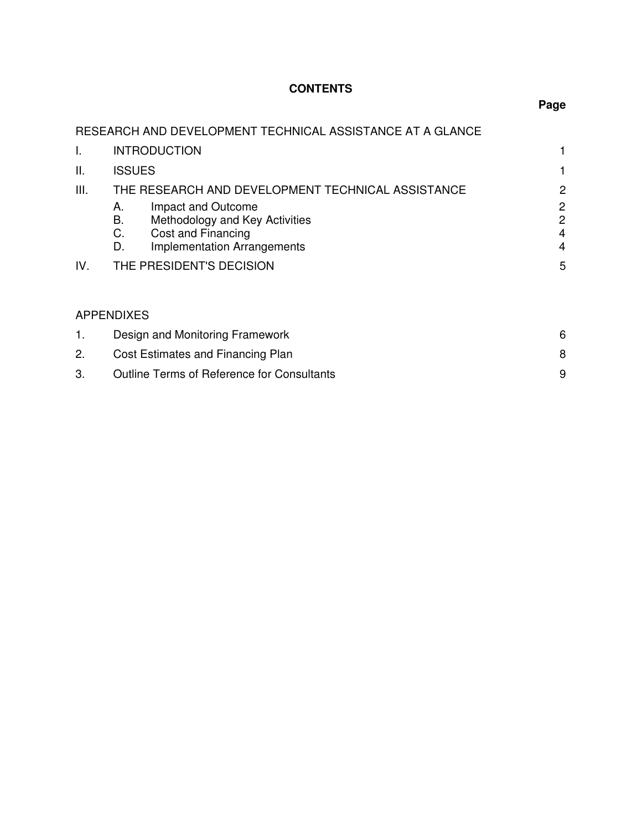# **CONTENTS**

|             | RESEARCH AND DEVELOPMENT TECHNICAL ASSISTANCE AT A GLANCE                                                                                                                                                                 |                                                                                |
|-------------|---------------------------------------------------------------------------------------------------------------------------------------------------------------------------------------------------------------------------|--------------------------------------------------------------------------------|
| I.          | <b>INTRODUCTION</b>                                                                                                                                                                                                       | 1                                                                              |
| ΙΙ.         | <b>ISSUES</b>                                                                                                                                                                                                             | 1                                                                              |
| III.<br>IV. | THE RESEARCH AND DEVELOPMENT TECHNICAL ASSISTANCE<br>Impact and Outcome<br>А.<br>В.<br>Methodology and Key Activities<br>С.<br>Cost and Financing<br><b>Implementation Arrangements</b><br>D.<br>THE PRESIDENT'S DECISION | 2<br>$\overline{c}$<br>$\overline{c}$<br>$\overline{4}$<br>$\overline{4}$<br>5 |
|             | <b>APPENDIXES</b>                                                                                                                                                                                                         |                                                                                |
| 1.          | Design and Monitoring Framework                                                                                                                                                                                           | 6                                                                              |
| 2.          | Cost Estimates and Financing Plan                                                                                                                                                                                         | 8                                                                              |
| 3.          | <b>Outline Terms of Reference for Consultants</b>                                                                                                                                                                         | 9                                                                              |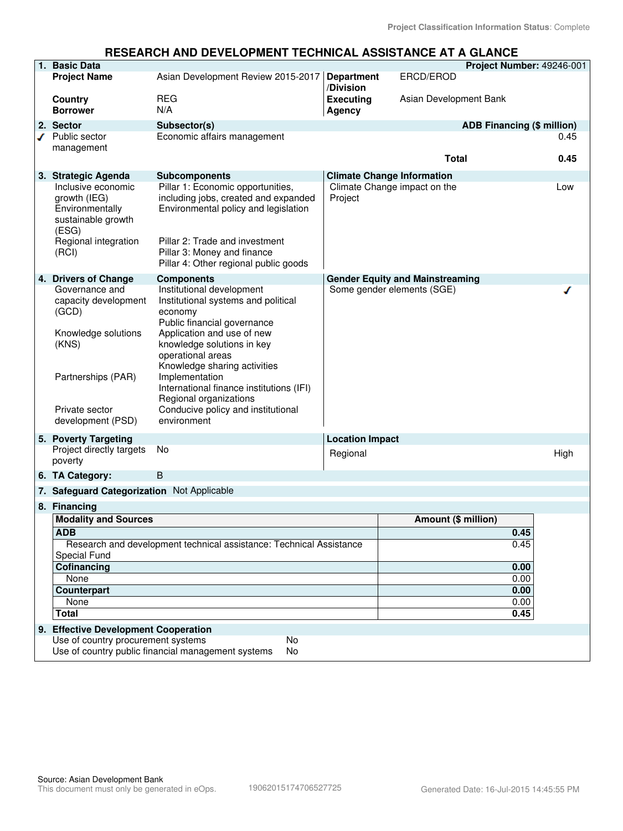#### **RESEARCH AND DEVELOPMENT TECHNICAL ASSISTANCE AT A GLANCE**

|   | 1. Basic Data                                                                                                                                |                                                                                                                                                                                                                                                                                                                                                                          |                                |                                        | Project Number: 49246-001         |      |
|---|----------------------------------------------------------------------------------------------------------------------------------------------|--------------------------------------------------------------------------------------------------------------------------------------------------------------------------------------------------------------------------------------------------------------------------------------------------------------------------------------------------------------------------|--------------------------------|----------------------------------------|-----------------------------------|------|
|   | <b>Project Name</b>                                                                                                                          | Asian Development Review 2015-2017                                                                                                                                                                                                                                                                                                                                       | <b>Department</b><br>/Division | ERCD/EROD                              |                                   |      |
|   | <b>Country</b><br><b>Borrower</b>                                                                                                            | <b>REG</b><br>N/A                                                                                                                                                                                                                                                                                                                                                        | <b>Executing</b><br>Agency     | Asian Development Bank                 |                                   |      |
|   | 2. Sector                                                                                                                                    | Subsector(s)                                                                                                                                                                                                                                                                                                                                                             |                                |                                        | <b>ADB Financing (\$ million)</b> |      |
| ◢ | Public sector                                                                                                                                | Economic affairs management                                                                                                                                                                                                                                                                                                                                              |                                |                                        |                                   | 0.45 |
|   | management                                                                                                                                   |                                                                                                                                                                                                                                                                                                                                                                          |                                | <b>Total</b>                           |                                   | 0.45 |
|   | 3. Strategic Agenda                                                                                                                          | <b>Subcomponents</b>                                                                                                                                                                                                                                                                                                                                                     |                                | <b>Climate Change Information</b>      |                                   |      |
|   | Inclusive economic<br>growth (IEG)<br>Environmentally<br>sustainable growth<br>(ESG)<br>Regional integration<br>(RCI)                        | Pillar 1: Economic opportunities,<br>including jobs, created and expanded<br>Environmental policy and legislation<br>Pillar 2: Trade and investment<br>Pillar 3: Money and finance<br>Pillar 4: Other regional public goods                                                                                                                                              | Project                        | Climate Change impact on the           |                                   | Low  |
|   | 4. Drivers of Change                                                                                                                         | <b>Components</b>                                                                                                                                                                                                                                                                                                                                                        |                                | <b>Gender Equity and Mainstreaming</b> |                                   |      |
|   | Governance and<br>capacity development<br>(GCD)<br>Knowledge solutions<br>(KNS)<br>Partnerships (PAR)<br>Private sector<br>development (PSD) | Institutional development<br>Institutional systems and political<br>economy<br>Public financial governance<br>Application and use of new<br>knowledge solutions in key<br>operational areas<br>Knowledge sharing activities<br>Implementation<br>International finance institutions (IFI)<br>Regional organizations<br>Conducive policy and institutional<br>environment |                                | Some gender elements (SGE)             |                                   |      |
|   | 5. Poverty Targeting                                                                                                                         |                                                                                                                                                                                                                                                                                                                                                                          | <b>Location Impact</b>         |                                        |                                   |      |
|   | Project directly targets<br>poverty                                                                                                          | No                                                                                                                                                                                                                                                                                                                                                                       | Regional                       |                                        |                                   | High |
|   | 6. TA Category:                                                                                                                              | $\mathsf B$                                                                                                                                                                                                                                                                                                                                                              |                                |                                        |                                   |      |
|   | 7. Safeguard Categorization Not Applicable                                                                                                   |                                                                                                                                                                                                                                                                                                                                                                          |                                |                                        |                                   |      |
|   | 8. Financing                                                                                                                                 |                                                                                                                                                                                                                                                                                                                                                                          |                                |                                        |                                   |      |
|   | <b>Modality and Sources</b>                                                                                                                  |                                                                                                                                                                                                                                                                                                                                                                          |                                | Amount (\$ million)                    |                                   |      |
|   | ADB                                                                                                                                          |                                                                                                                                                                                                                                                                                                                                                                          |                                |                                        | 0.45                              |      |
|   |                                                                                                                                              | Research and development technical assistance: Technical Assistance                                                                                                                                                                                                                                                                                                      |                                |                                        | 0.45                              |      |
|   | Special Fund                                                                                                                                 |                                                                                                                                                                                                                                                                                                                                                                          |                                |                                        |                                   |      |
|   | Cofinancing                                                                                                                                  |                                                                                                                                                                                                                                                                                                                                                                          |                                |                                        | 0.00                              |      |
|   | None                                                                                                                                         |                                                                                                                                                                                                                                                                                                                                                                          |                                |                                        | 0.00                              |      |
|   | <b>Counterpart</b><br>None                                                                                                                   |                                                                                                                                                                                                                                                                                                                                                                          |                                |                                        | 0.00<br>0.00                      |      |
|   | <b>Total</b>                                                                                                                                 |                                                                                                                                                                                                                                                                                                                                                                          |                                |                                        | 0.45                              |      |
|   | 9. Effective Development Cooperation                                                                                                         |                                                                                                                                                                                                                                                                                                                                                                          |                                |                                        |                                   |      |
|   | Use of country procurement systems                                                                                                           | No                                                                                                                                                                                                                                                                                                                                                                       |                                |                                        |                                   |      |
|   |                                                                                                                                              | Use of country public financial management systems<br>No                                                                                                                                                                                                                                                                                                                 |                                |                                        |                                   |      |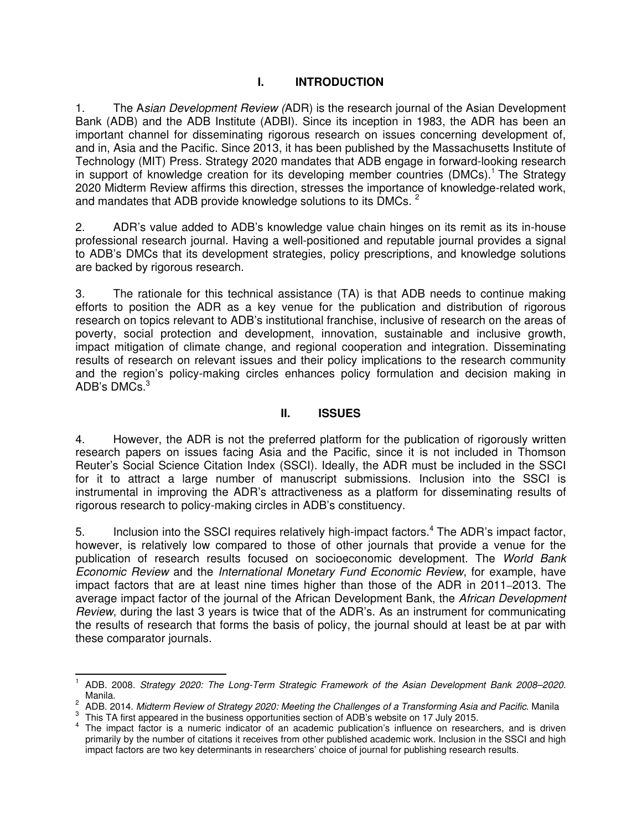## **I. INTRODUCTION**

1. The A*sian Development Review (*ADR) is the research journal of the Asian Development Bank (ADB) and the ADB Institute (ADBI). Since its inception in 1983, the ADR has been an important channel for disseminating rigorous research on issues concerning development of, and in, Asia and the Pacific. Since 2013, it has been published by the Massachusetts Institute of Technology (MIT) Press. Strategy 2020 mandates that ADB engage in forward-looking research in support of knowledge creation for its developing member countries (DMCs).<sup>1</sup> The Strategy 2020 Midterm Review affirms this direction, stresses the importance of knowledge-related work, and mandates that ADB provide knowledge solutions to its DMCs. <sup>2</sup>

2. ADR's value added to ADB's knowledge value chain hinges on its remit as its in-house professional research journal. Having a well-positioned and reputable journal provides a signal to ADB's DMCs that its development strategies, policy prescriptions, and knowledge solutions are backed by rigorous research.

3. The rationale for this technical assistance (TA) is that ADB needs to continue making efforts to position the ADR as a key venue for the publication and distribution of rigorous research on topics relevant to ADB's institutional franchise, inclusive of research on the areas of poverty, social protection and development, innovation, sustainable and inclusive growth, impact mitigation of climate change, and regional cooperation and integration. Disseminating results of research on relevant issues and their policy implications to the research community and the region's policy-making circles enhances policy formulation and decision making in ADB's DMCs. $3$ 

#### **II. ISSUES**

4. However, the ADR is not the preferred platform for the publication of rigorously written research papers on issues facing Asia and the Pacific, since it is not included in Thomson Reuter's Social Science Citation Index (SSCI). Ideally, the ADR must be included in the SSCI for it to attract a large number of manuscript submissions. Inclusion into the SSCI is instrumental in improving the ADR's attractiveness as a platform for disseminating results of rigorous research to policy-making circles in ADB's constituency.

5. Inclusion into the SSCI requires relatively high-impact factors.<sup>4</sup> The ADR's impact factor, however, is relatively low compared to those of other journals that provide a venue for the publication of research results focused on socioeconomic development. The *World Bank Economic Review* and the *International Monetary Fund Economic Review*, for example, have impact factors that are at least nine times higher than those of the ADR in 2011–2013. The average impact factor of the journal of the African Development Bank, the *African Development Review*, during the last 3 years is twice that of the ADR's. As an instrument for communicating the results of research that forms the basis of policy, the journal should at least be at par with these comparator journals.

 $\overline{a}$ 1 ADB. 2008. *Strategy 2020: The Long-Term Strategic Framework of the Asian Development Bank 2008–2020.* Manila.

<sup>2</sup> ADB. 2014. *Midterm Review of Strategy 2020: Meeting the Challenges of a Transforming Asia and Pacific*. Manila

 $3$  This TA first appeared in the business opportunities section of ADB's website on 17 July 2015.

<sup>&</sup>lt;sup>4</sup> The impact factor is a numeric indicator of an academic publication's influence on researchers, and is driven primarily by the number of citations it receives from other published academic work. Inclusion in the SSCI and high impact factors are two key determinants in researchers' choice of journal for publishing research results.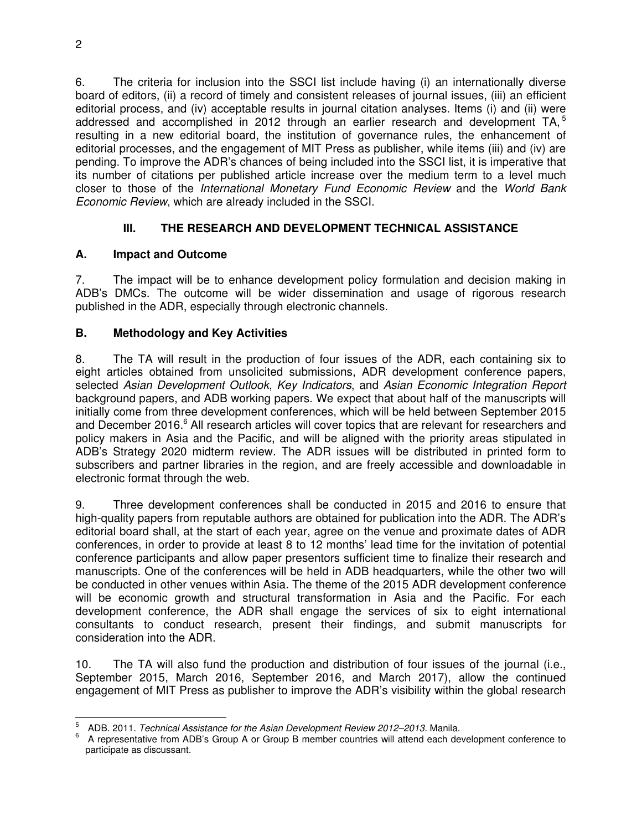6. The criteria for inclusion into the SSCI list include having (i) an internationally diverse board of editors, (ii) a record of timely and consistent releases of journal issues, (iii) an efficient editorial process, and (iv) acceptable results in journal citation analyses. Items (i) and (ii) were addressed and accomplished in 2012 through an earlier research and development TA,<sup>5</sup> resulting in a new editorial board, the institution of governance rules, the enhancement of editorial processes, and the engagement of MIT Press as publisher, while items (iii) and (iv) are pending. To improve the ADR's chances of being included into the SSCI list, it is imperative that its number of citations per published article increase over the medium term to a level much closer to those of the *International Monetary Fund Economic Review* and the *World Bank Economic Review*, which are already included in the SSCI.

# **III. THE RESEARCH AND DEVELOPMENT TECHNICAL ASSISTANCE**

# **A. Impact and Outcome**

7. The impact will be to enhance development policy formulation and decision making in ADB's DMCs. The outcome will be wider dissemination and usage of rigorous research published in the ADR, especially through electronic channels.

## **B. Methodology and Key Activities**

8. The TA will result in the production of four issues of the ADR, each containing six to eight articles obtained from unsolicited submissions, ADR development conference papers, selected *Asian Development Outlook*, *Key Indicators*, and *Asian Economic Integration Report* background papers, and ADB working papers. We expect that about half of the manuscripts will initially come from three development conferences, which will be held between September 2015 and December 2016.<sup>6</sup> All research articles will cover topics that are relevant for researchers and policy makers in Asia and the Pacific, and will be aligned with the priority areas stipulated in ADB's Strategy 2020 midterm review. The ADR issues will be distributed in printed form to subscribers and partner libraries in the region, and are freely accessible and downloadable in electronic format through the web.

9. Three development conferences shall be conducted in 2015 and 2016 to ensure that high-quality papers from reputable authors are obtained for publication into the ADR. The ADR's editorial board shall, at the start of each year, agree on the venue and proximate dates of ADR conferences, in order to provide at least 8 to 12 months' lead time for the invitation of potential conference participants and allow paper presentors sufficient time to finalize their research and manuscripts. One of the conferences will be held in ADB headquarters, while the other two will be conducted in other venues within Asia. The theme of the 2015 ADR development conference will be economic growth and structural transformation in Asia and the Pacific. For each development conference, the ADR shall engage the services of six to eight international consultants to conduct research, present their findings, and submit manuscripts for consideration into the ADR.

10. The TA will also fund the production and distribution of four issues of the journal (i.e., September 2015, March 2016, September 2016, and March 2017), allow the continued engagement of MIT Press as publisher to improve the ADR's visibility within the global research

<sup>-&</sup>lt;br>5 ADB. 2011. *Technical Assistance for the Asian Development Review 2012–2013.* Manila.

<sup>6</sup> A representative from ADB's Group A or Group B member countries will attend each development conference to participate as discussant.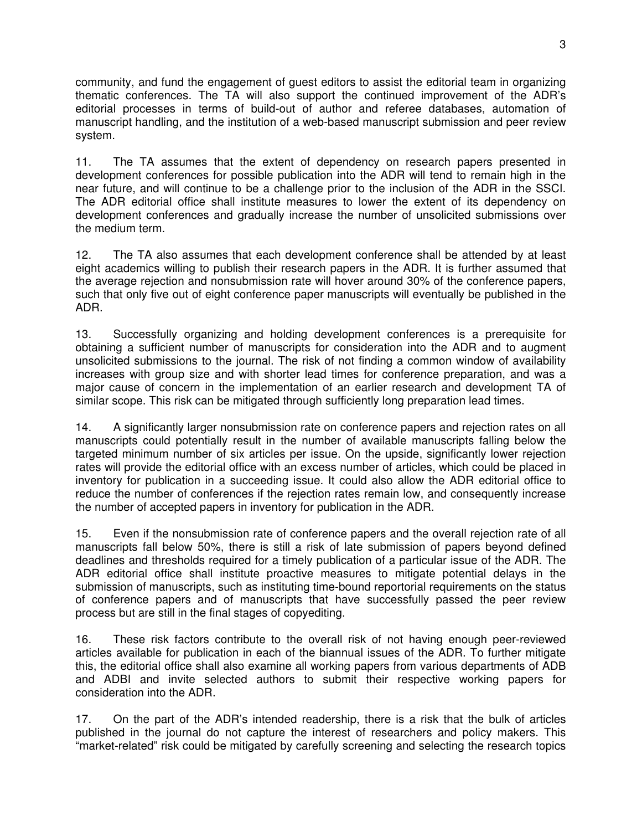community, and fund the engagement of guest editors to assist the editorial team in organizing thematic conferences. The TA will also support the continued improvement of the ADR's editorial processes in terms of build-out of author and referee databases, automation of manuscript handling, and the institution of a web-based manuscript submission and peer review system.

11. The TA assumes that the extent of dependency on research papers presented in development conferences for possible publication into the ADR will tend to remain high in the near future, and will continue to be a challenge prior to the inclusion of the ADR in the SSCI. The ADR editorial office shall institute measures to lower the extent of its dependency on development conferences and gradually increase the number of unsolicited submissions over the medium term.

12. The TA also assumes that each development conference shall be attended by at least eight academics willing to publish their research papers in the ADR. It is further assumed that the average rejection and nonsubmission rate will hover around 30% of the conference papers, such that only five out of eight conference paper manuscripts will eventually be published in the ADR.

13. Successfully organizing and holding development conferences is a prerequisite for obtaining a sufficient number of manuscripts for consideration into the ADR and to augment unsolicited submissions to the journal. The risk of not finding a common window of availability increases with group size and with shorter lead times for conference preparation, and was a major cause of concern in the implementation of an earlier research and development TA of similar scope. This risk can be mitigated through sufficiently long preparation lead times.

14. A significantly larger nonsubmission rate on conference papers and rejection rates on all manuscripts could potentially result in the number of available manuscripts falling below the targeted minimum number of six articles per issue. On the upside, significantly lower rejection rates will provide the editorial office with an excess number of articles, which could be placed in inventory for publication in a succeeding issue. It could also allow the ADR editorial office to reduce the number of conferences if the rejection rates remain low, and consequently increase the number of accepted papers in inventory for publication in the ADR.

15. Even if the nonsubmission rate of conference papers and the overall rejection rate of all manuscripts fall below 50%, there is still a risk of late submission of papers beyond defined deadlines and thresholds required for a timely publication of a particular issue of the ADR. The ADR editorial office shall institute proactive measures to mitigate potential delays in the submission of manuscripts, such as instituting time-bound reportorial requirements on the status of conference papers and of manuscripts that have successfully passed the peer review process but are still in the final stages of copyediting.

16. These risk factors contribute to the overall risk of not having enough peer-reviewed articles available for publication in each of the biannual issues of the ADR. To further mitigate this, the editorial office shall also examine all working papers from various departments of ADB and ADBI and invite selected authors to submit their respective working papers for consideration into the ADR.

17. On the part of the ADR's intended readership, there is a risk that the bulk of articles published in the journal do not capture the interest of researchers and policy makers. This "market-related" risk could be mitigated by carefully screening and selecting the research topics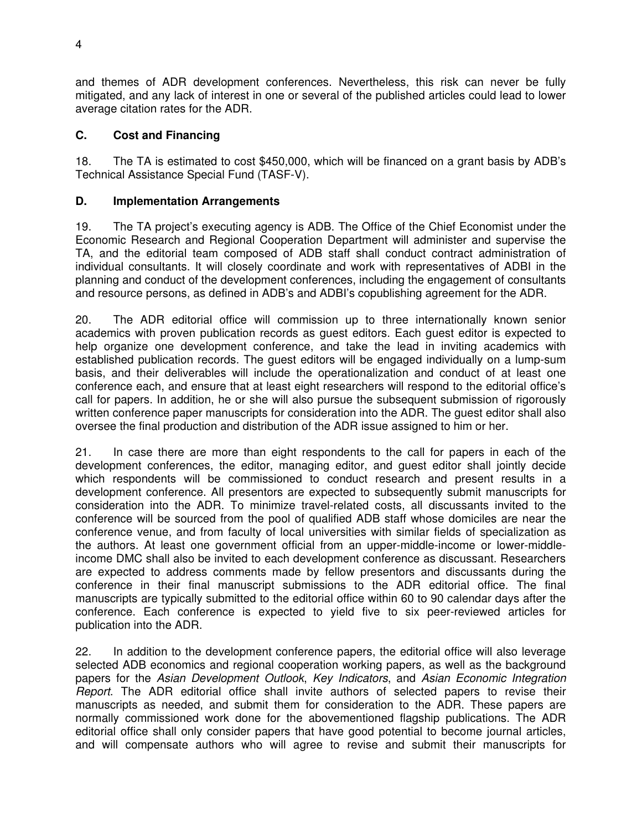and themes of ADR development conferences. Nevertheless, this risk can never be fully mitigated, and any lack of interest in one or several of the published articles could lead to lower average citation rates for the ADR.

#### **C. Cost and Financing**

18. The TA is estimated to cost \$450,000, which will be financed on a grant basis by ADB's Technical Assistance Special Fund (TASF-V).

#### **D. Implementation Arrangements**

19. The TA project's executing agency is ADB. The Office of the Chief Economist under the Economic Research and Regional Cooperation Department will administer and supervise the TA, and the editorial team composed of ADB staff shall conduct contract administration of individual consultants. It will closely coordinate and work with representatives of ADBI in the planning and conduct of the development conferences, including the engagement of consultants and resource persons, as defined in ADB's and ADBI's copublishing agreement for the ADR.

20. The ADR editorial office will commission up to three internationally known senior academics with proven publication records as guest editors. Each guest editor is expected to help organize one development conference, and take the lead in inviting academics with established publication records. The guest editors will be engaged individually on a lump-sum basis, and their deliverables will include the operationalization and conduct of at least one conference each, and ensure that at least eight researchers will respond to the editorial office's call for papers. In addition, he or she will also pursue the subsequent submission of rigorously written conference paper manuscripts for consideration into the ADR. The guest editor shall also oversee the final production and distribution of the ADR issue assigned to him or her.

21. In case there are more than eight respondents to the call for papers in each of the development conferences, the editor, managing editor, and guest editor shall jointly decide which respondents will be commissioned to conduct research and present results in a development conference. All presentors are expected to subsequently submit manuscripts for consideration into the ADR. To minimize travel-related costs, all discussants invited to the conference will be sourced from the pool of qualified ADB staff whose domiciles are near the conference venue, and from faculty of local universities with similar fields of specialization as the authors. At least one government official from an upper-middle-income or lower-middleincome DMC shall also be invited to each development conference as discussant. Researchers are expected to address comments made by fellow presentors and discussants during the conference in their final manuscript submissions to the ADR editorial office. The final manuscripts are typically submitted to the editorial office within 60 to 90 calendar days after the conference. Each conference is expected to yield five to six peer-reviewed articles for publication into the ADR.

22. In addition to the development conference papers, the editorial office will also leverage selected ADB economics and regional cooperation working papers, as well as the background papers for the *Asian Development Outlook*, *Key Indicators*, and *Asian Economic Integration Report*. The ADR editorial office shall invite authors of selected papers to revise their manuscripts as needed, and submit them for consideration to the ADR. These papers are normally commissioned work done for the abovementioned flagship publications. The ADR editorial office shall only consider papers that have good potential to become journal articles, and will compensate authors who will agree to revise and submit their manuscripts for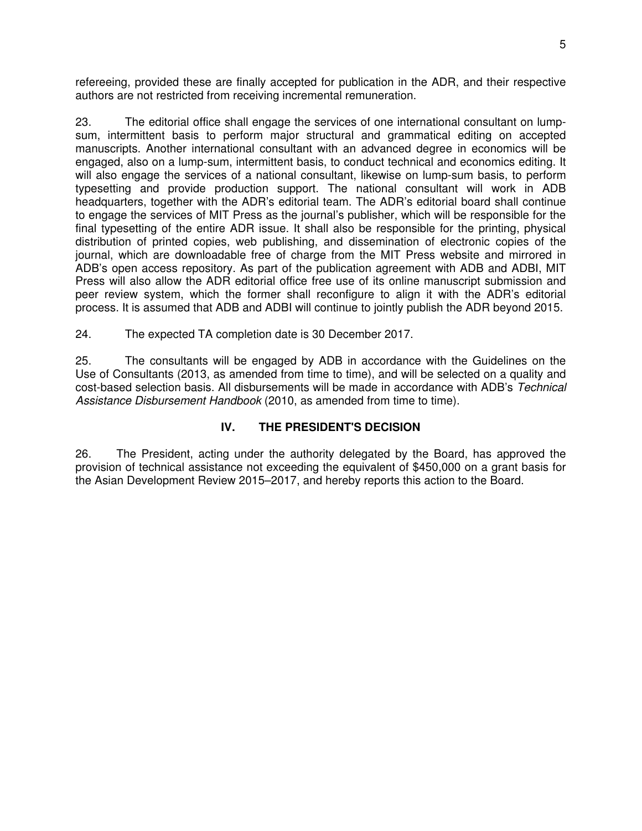refereeing, provided these are finally accepted for publication in the ADR, and their respective authors are not restricted from receiving incremental remuneration.

23. The editorial office shall engage the services of one international consultant on lumpsum, intermittent basis to perform major structural and grammatical editing on accepted manuscripts. Another international consultant with an advanced degree in economics will be engaged, also on a lump-sum, intermittent basis, to conduct technical and economics editing. It will also engage the services of a national consultant, likewise on lump-sum basis, to perform typesetting and provide production support. The national consultant will work in ADB headquarters, together with the ADR's editorial team. The ADR's editorial board shall continue to engage the services of MIT Press as the journal's publisher, which will be responsible for the final typesetting of the entire ADR issue. It shall also be responsible for the printing, physical distribution of printed copies, web publishing, and dissemination of electronic copies of the journal, which are downloadable free of charge from the MIT Press website and mirrored in ADB's open access repository. As part of the publication agreement with ADB and ADBI, MIT Press will also allow the ADR editorial office free use of its online manuscript submission and peer review system, which the former shall reconfigure to align it with the ADR's editorial process. It is assumed that ADB and ADBI will continue to jointly publish the ADR beyond 2015.

24. The expected TA completion date is 30 December 2017.

25. The consultants will be engaged by ADB in accordance with the Guidelines on the Use of Consultants (2013, as amended from time to time), and will be selected on a quality and cost-based selection basis. All disbursements will be made in accordance with ADB's *Technical*  Assistance Disbursement Handbook (2010, as amended from time to time).

## **IV. THE PRESIDENT'S DECISION**

26. The President, acting under the authority delegated by the Board, has approved the provision of technical assistance not exceeding the equivalent of \$450,000 on a grant basis for the Asian Development Review 2015–2017, and hereby reports this action to the Board.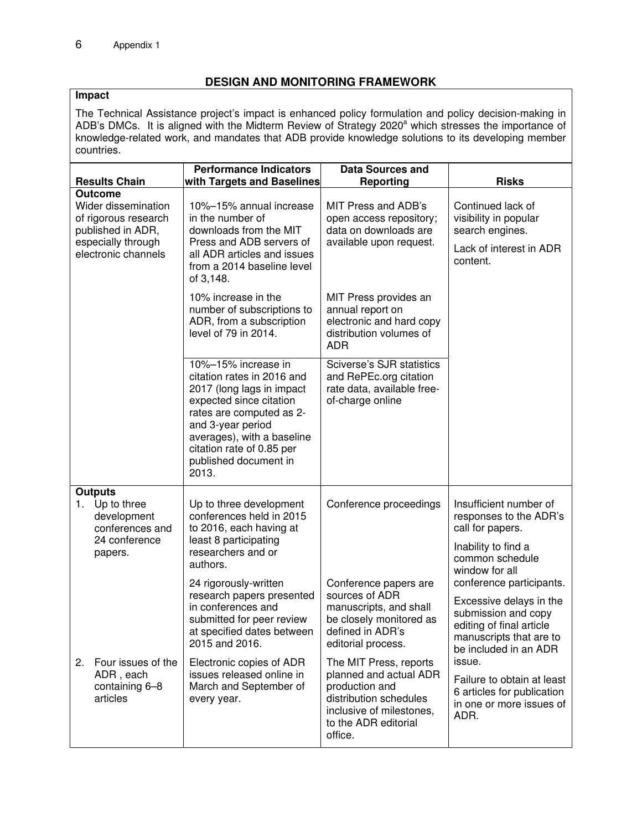## **DESIGN AND MONITORING FRAMEWORK**

## **Impact**

The Technical Assistance project's impact is enhanced policy formulation and policy decision-making in ADB's DMCs. It is aligned with the Midterm Review of Strategy 2020<sup>a</sup> which stresses the importance of knowledge-related work, and mandates that ADB provide knowledge solutions to its developing member countries.

| <b>Results Chain</b>                                                                                                            | <b>Performance Indicators</b><br>with Targets and Baselines                                                                                                                                                                                             | <b>Data Sources and</b><br>Reporting                                                                                                                                                                  | <b>Risks</b>                                                                                                                                                                                                   |
|---------------------------------------------------------------------------------------------------------------------------------|---------------------------------------------------------------------------------------------------------------------------------------------------------------------------------------------------------------------------------------------------------|-------------------------------------------------------------------------------------------------------------------------------------------------------------------------------------------------------|----------------------------------------------------------------------------------------------------------------------------------------------------------------------------------------------------------------|
| <b>Outcome</b><br>Wider dissemination<br>of rigorous research<br>published in ADR,<br>especially through<br>electronic channels | 10%-15% annual increase<br>in the number of<br>downloads from the MIT<br>Press and ADB servers of<br>all ADR articles and issues<br>from a 2014 baseline level<br>of 3,148.                                                                             | MIT Press and ADB's<br>open access repository;<br>data on downloads are<br>available upon request.                                                                                                    | Continued lack of<br>visibility in popular<br>search engines.<br>Lack of interest in ADR<br>content.                                                                                                           |
|                                                                                                                                 | 10% increase in the<br>number of subscriptions to<br>ADR, from a subscription<br>level of 79 in 2014.                                                                                                                                                   | MIT Press provides an<br>annual report on<br>electronic and hard copy<br>distribution volumes of<br><b>ADR</b>                                                                                        |                                                                                                                                                                                                                |
|                                                                                                                                 | 10%-15% increase in<br>citation rates in 2016 and<br>2017 (long lags in impact<br>expected since citation<br>rates are computed as 2-<br>and 3-year period<br>averages), with a baseline<br>citation rate of 0.85 per<br>published document in<br>2013. | Sciverse's SJR statistics<br>and RePEc.org citation<br>rate data, available free-<br>of-charge online                                                                                                 |                                                                                                                                                                                                                |
| <b>Outputs</b><br>1. Up to three<br>development<br>conferences and<br>24 conference<br>papers.                                  | Up to three development<br>conferences held in 2015<br>to 2016, each having at<br>least 8 participating<br>researchers and or<br>authors.<br>24 rigorously-written<br>research papers presented<br>in conferences and<br>submitted for peer review      | Conference proceedings<br>Conference papers are<br>sources of ADR<br>manuscripts, and shall<br>be closely monitored as                                                                                | Insufficient number of<br>responses to the ADR's<br>call for papers.<br>Inability to find a<br>common schedule<br>window for all<br>conference participants.<br>Excessive delays in the<br>submission and copy |
| Four issues of the<br>2.<br>ADR, each<br>containing 6-8<br>articles                                                             | at specified dates between<br>2015 and 2016.<br>Electronic copies of ADR<br>issues released online in<br>March and September of<br>every year.                                                                                                          | defined in ADR's<br>editorial process.<br>The MIT Press, reports<br>planned and actual ADR<br>production and<br>distribution schedules<br>inclusive of milestones,<br>to the ADR editorial<br>office. | editing of final article<br>manuscripts that are to<br>be included in an ADR<br>issue.<br>Failure to obtain at least<br>6 articles for publication<br>in one or more issues of<br>ADR.                         |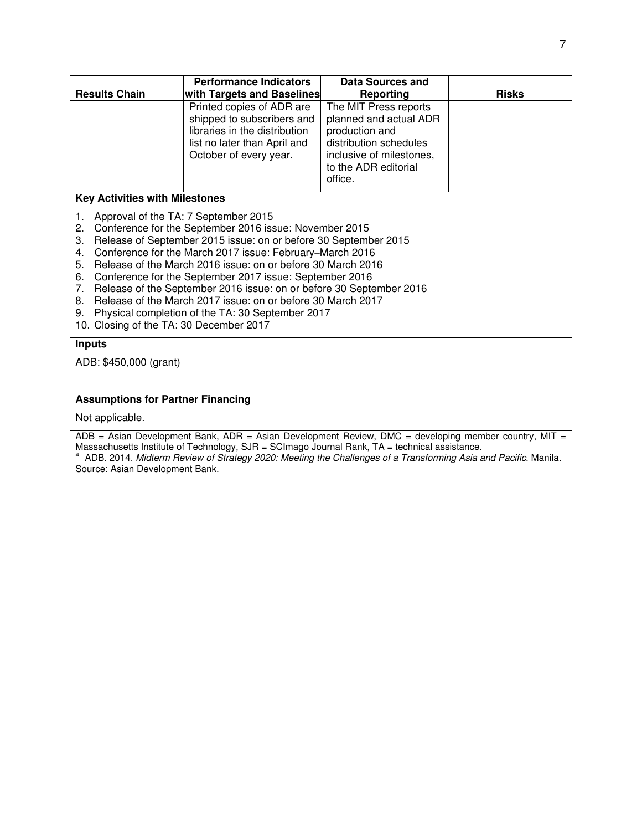|                                                                                                                                                                                                                                                                                                                                                                                                                                                                                                                                                                                                                                                    | <b>Performance Indicators</b>                                                                                                                      | Data Sources and                                                                                                                                           |              |  |
|----------------------------------------------------------------------------------------------------------------------------------------------------------------------------------------------------------------------------------------------------------------------------------------------------------------------------------------------------------------------------------------------------------------------------------------------------------------------------------------------------------------------------------------------------------------------------------------------------------------------------------------------------|----------------------------------------------------------------------------------------------------------------------------------------------------|------------------------------------------------------------------------------------------------------------------------------------------------------------|--------------|--|
| <b>Results Chain</b>                                                                                                                                                                                                                                                                                                                                                                                                                                                                                                                                                                                                                               | with Targets and Baselines                                                                                                                         | <b>Reporting</b>                                                                                                                                           | <b>Risks</b> |  |
|                                                                                                                                                                                                                                                                                                                                                                                                                                                                                                                                                                                                                                                    | Printed copies of ADR are<br>shipped to subscribers and<br>libraries in the distribution<br>list no later than April and<br>October of every year. | The MIT Press reports<br>planned and actual ADR<br>production and<br>distribution schedules<br>inclusive of milestones,<br>to the ADR editorial<br>office. |              |  |
| <b>Key Activities with Milestones</b>                                                                                                                                                                                                                                                                                                                                                                                                                                                                                                                                                                                                              |                                                                                                                                                    |                                                                                                                                                            |              |  |
| Approval of the TA: 7 September 2015<br>1.<br>Conference for the September 2016 issue: November 2015<br>2.<br>Release of September 2015 issue: on or before 30 September 2015<br>3.<br>Conference for the March 2017 issue: February-March 2016<br>4.<br>Release of the March 2016 issue: on or before 30 March 2016<br>5.<br>Conference for the September 2017 issue: September 2016<br>6.<br>Release of the September 2016 issue: on or before 30 September 2016<br>7.<br>Release of the March 2017 issue: on or before 30 March 2017<br>8.<br>Physical completion of the TA: 30 September 2017<br>9.<br>10. Closing of the TA: 30 December 2017 |                                                                                                                                                    |                                                                                                                                                            |              |  |
| <b>Inputs</b>                                                                                                                                                                                                                                                                                                                                                                                                                                                                                                                                                                                                                                      |                                                                                                                                                    |                                                                                                                                                            |              |  |
| ADB: \$450,000 (grant)                                                                                                                                                                                                                                                                                                                                                                                                                                                                                                                                                                                                                             |                                                                                                                                                    |                                                                                                                                                            |              |  |
|                                                                                                                                                                                                                                                                                                                                                                                                                                                                                                                                                                                                                                                    |                                                                                                                                                    |                                                                                                                                                            |              |  |
| <b>Assumptions for Partner Financing</b>                                                                                                                                                                                                                                                                                                                                                                                                                                                                                                                                                                                                           |                                                                                                                                                    |                                                                                                                                                            |              |  |
| Not applicable.                                                                                                                                                                                                                                                                                                                                                                                                                                                                                                                                                                                                                                    |                                                                                                                                                    |                                                                                                                                                            |              |  |
| ADB = Asian Development Bank, ADR = Asian Development Review, DMC = developing member country, MIT =                                                                                                                                                                                                                                                                                                                                                                                                                                                                                                                                               |                                                                                                                                                    |                                                                                                                                                            |              |  |

Massachusetts Institute of Technology, SJR = SCImago Journal Rank, TA = technical assistance.<br><sup>a</sup> ADB. 2014. *Midterm Review of Strategy 2020: Meeting the Challenges of a Transforming Asia and Pacific*. Manila. Source: Asian Development Bank.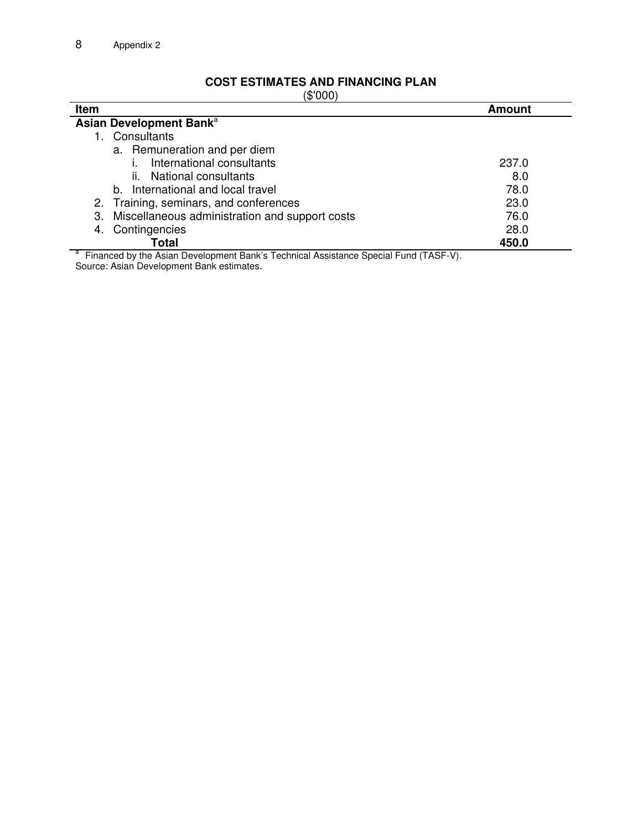# **COST ESTIMATES AND FINANCING PLAN**

(\$'000)

| Item                                                                                 | <b>Amount</b> |
|--------------------------------------------------------------------------------------|---------------|
| Asian Development Bank <sup>a</sup>                                                  |               |
| Consultants                                                                          |               |
| a. Remuneration and per diem                                                         |               |
| International consultants                                                            | 237.0         |
| National consultants<br>ÎĹ.                                                          | 8.0           |
| b. International and local travel                                                    | 78.0          |
| 2. Training, seminars, and conferences                                               | 23.0          |
| Miscellaneous administration and support costs<br>З.                                 | 76.0          |
| Contingencies<br>4.                                                                  | 28.0          |
| Total                                                                                | 450.0         |
| Financed by the Asian Development Bank's Technical Assistance Special Fund (TASF-V). |               |

Source: Asian Development Bank estimates.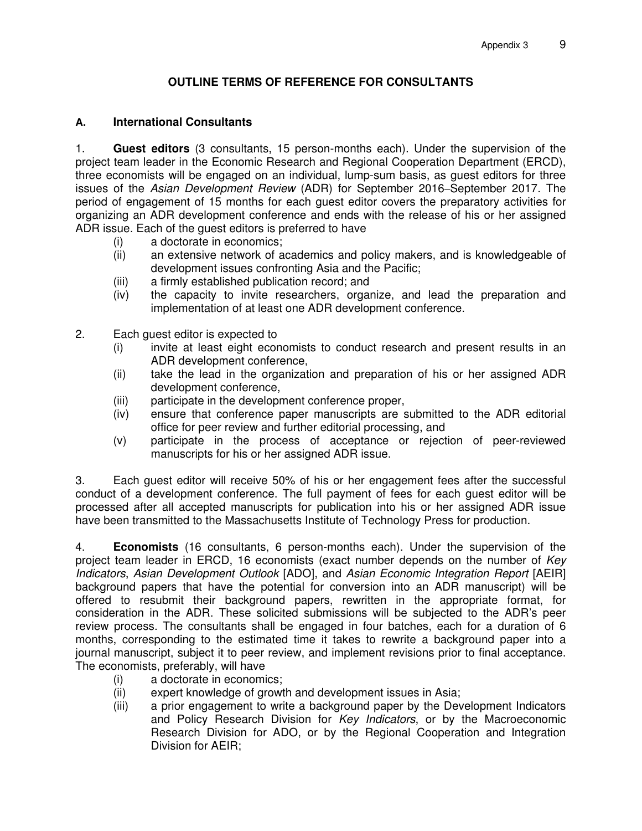## **OUTLINE TERMS OF REFERENCE FOR CONSULTANTS**

## **A. International Consultants**

1. **Guest editors** (3 consultants, 15 person-months each). Under the supervision of the project team leader in the Economic Research and Regional Cooperation Department (ERCD), three economists will be engaged on an individual, lump-sum basis, as guest editors for three issues of the *Asian Development Review* (ADR) for September 2016–September 2017. The period of engagement of 15 months for each guest editor covers the preparatory activities for organizing an ADR development conference and ends with the release of his or her assigned ADR issue. Each of the guest editors is preferred to have

- 
- (i) a doctorate in economics;<br>(ii) an extensive network of a an extensive network of academics and policy makers, and is knowledgeable of development issues confronting Asia and the Pacific;
- (iii) a firmly established publication record; and
- (iv) the capacity to invite researchers, organize, and lead the preparation and implementation of at least one ADR development conference.
- 2. Each guest editor is expected to
	- (i) invite at least eight economists to conduct research and present results in an ADR development conference,
	- (ii) take the lead in the organization and preparation of his or her assigned ADR development conference,
	- (iii) participate in the development conference proper,
	- (iv) ensure that conference paper manuscripts are submitted to the ADR editorial office for peer review and further editorial processing, and
	- (v) participate in the process of acceptance or rejection of peer-reviewed manuscripts for his or her assigned ADR issue.

3. Each guest editor will receive 50% of his or her engagement fees after the successful conduct of a development conference. The full payment of fees for each guest editor will be processed after all accepted manuscripts for publication into his or her assigned ADR issue have been transmitted to the Massachusetts Institute of Technology Press for production.

4. **Economists** (16 consultants, 6 person-months each). Under the supervision of the project team leader in ERCD, 16 economists (exact number depends on the number of *Key Indicators*, *Asian Development Outlook* [ADO], and *Asian Economic Integration Report* [AEIR] background papers that have the potential for conversion into an ADR manuscript) will be offered to resubmit their background papers, rewritten in the appropriate format, for consideration in the ADR. These solicited submissions will be subjected to the ADR's peer review process. The consultants shall be engaged in four batches, each for a duration of 6 months, corresponding to the estimated time it takes to rewrite a background paper into a journal manuscript, subject it to peer review, and implement revisions prior to final acceptance. The economists, preferably, will have

- (i) a doctorate in economics;
- (ii) expert knowledge of growth and development issues in Asia;
- (iii) a prior engagement to write a background paper by the Development Indicators and Policy Research Division for *Key Indicators*, or by the Macroeconomic Research Division for ADO, or by the Regional Cooperation and Integration Division for AEIR;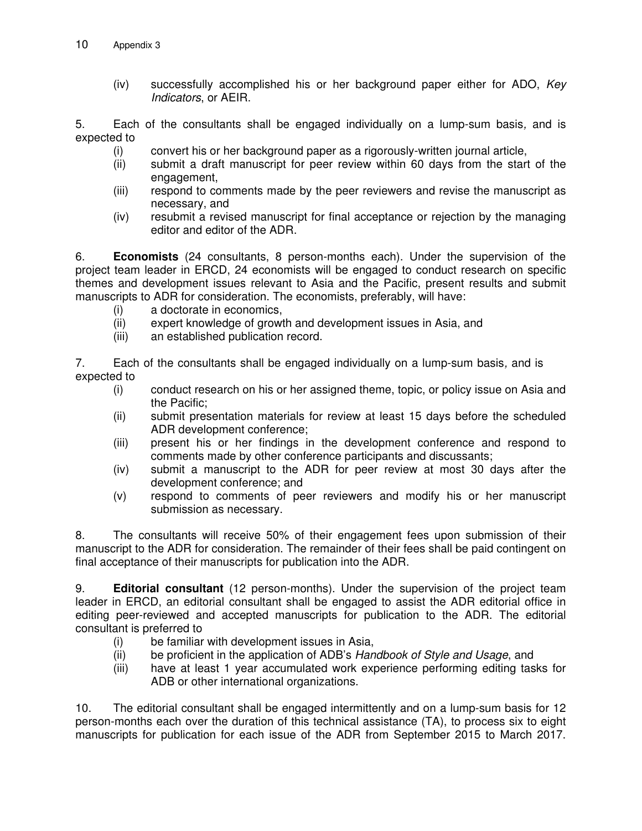(iv) successfully accomplished his or her background paper either for ADO, *Key Indicators*, or AEIR.

5. Each of the consultants shall be engaged individually on a lump-sum basis*,* and is expected to

- (i) convert his or her background paper as a rigorously-written journal article,
- (ii) submit a draft manuscript for peer review within 60 days from the start of the engagement,
- (iii) respond to comments made by the peer reviewers and revise the manuscript as necessary, and
- (iv) resubmit a revised manuscript for final acceptance or rejection by the managing editor and editor of the ADR.

6. **Economists** (24 consultants, 8 person-months each). Under the supervision of the project team leader in ERCD, 24 economists will be engaged to conduct research on specific themes and development issues relevant to Asia and the Pacific, present results and submit manuscripts to ADR for consideration. The economists, preferably, will have:

- (i) a doctorate in economics,<br>(ii) expert knowledge of growt
- expert knowledge of growth and development issues in Asia, and
- (iii) an established publication record.

7. Each of the consultants shall be engaged individually on a lump-sum basis*,* and is expected to

- (i) conduct research on his or her assigned theme, topic, or policy issue on Asia and the Pacific;
- (ii) submit presentation materials for review at least 15 days before the scheduled ADR development conference;
- (iii) present his or her findings in the development conference and respond to comments made by other conference participants and discussants;
- (iv) submit a manuscript to the ADR for peer review at most 30 days after the development conference; and
- (v) respond to comments of peer reviewers and modify his or her manuscript submission as necessary.

8. The consultants will receive 50% of their engagement fees upon submission of their manuscript to the ADR for consideration. The remainder of their fees shall be paid contingent on final acceptance of their manuscripts for publication into the ADR.

9. **Editorial consultant** (12 person-months). Under the supervision of the project team leader in ERCD, an editorial consultant shall be engaged to assist the ADR editorial office in editing peer-reviewed and accepted manuscripts for publication to the ADR. The editorial consultant is preferred to

- (i) be familiar with development issues in Asia,
- (ii) be proficient in the application of ADB's *Handbook of Style and Usage*, and
- (iii) have at least 1 year accumulated work experience performing editing tasks for ADB or other international organizations.

10. The editorial consultant shall be engaged intermittently and on a lump-sum basis for 12 person-months each over the duration of this technical assistance (TA), to process six to eight manuscripts for publication for each issue of the ADR from September 2015 to March 2017.